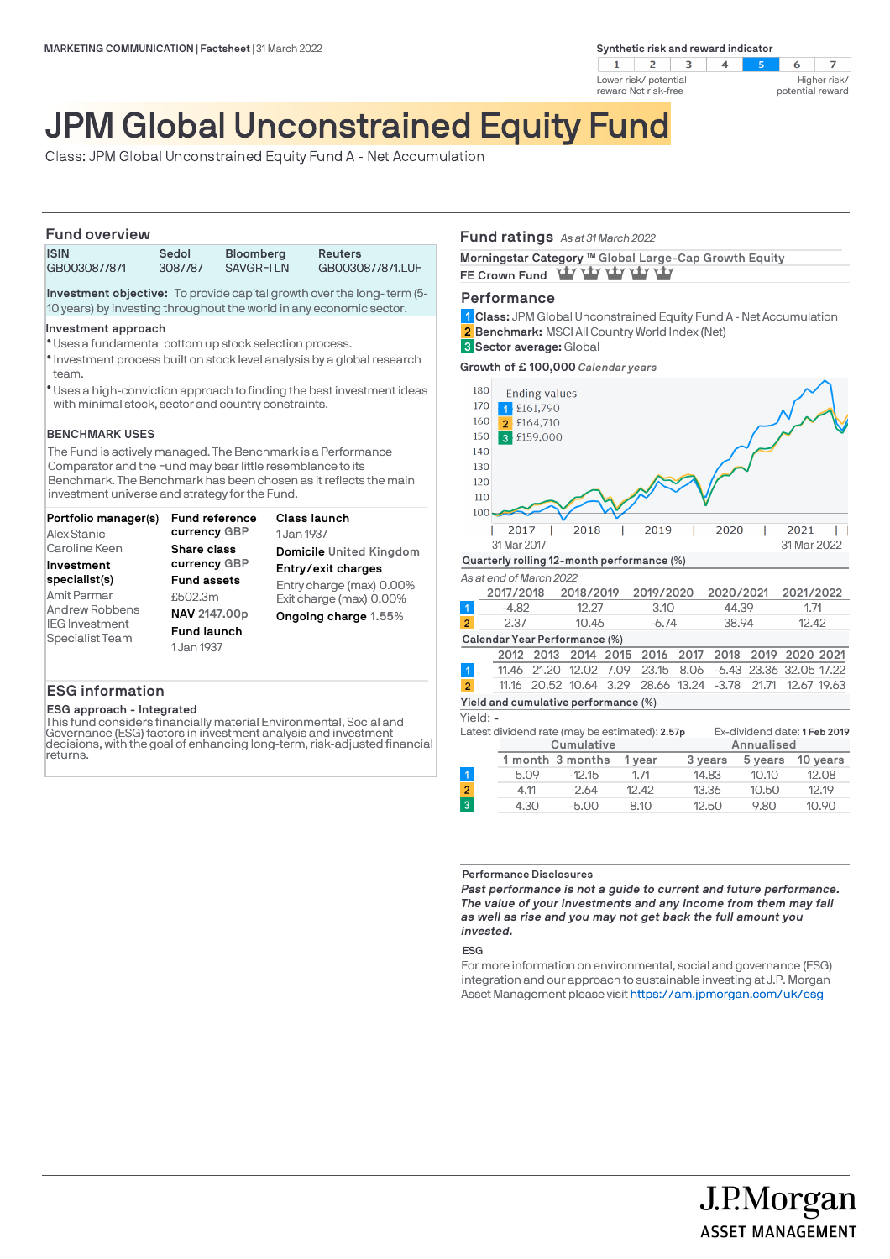**Synthetic risk and reward indicator** 



#### $\overline{z}$  $-5$ 6 Higher risk/ potential reward

# JPM Global Unconstrained Equity Fund

Class: JPM Global Unconstrained Equity Fund A - Net Accumulation

### **Fund overview**

|  | <b>ISIN</b><br>GB0030877871 | Sedol<br>3087787 | <b>Bloomberg</b><br><b>SAVGREILN</b> | <b>Reuters</b><br>GB0030877871.LUF |  |  |
|--|-----------------------------|------------------|--------------------------------------|------------------------------------|--|--|
|  |                             |                  |                                      |                                    |  |  |

**Investment objective:** To provide capital growth over the long- term (5- 10 years) by investing throughout the world in any economic sector.

### **Investment approach**

- Uses a fundamental bottom up stock selection process. l
- $\bullet$  Investment process built on stock level analysis by a global research team.
- Uses a high-conviction approach to finding the best investment ideas l with minimal stock, sector and country constraints.

### **BENCHMARK USES**

The Fund is actively managed. The Benchmark is a Performance Comparator and the Fund may bear little resemblance to its Benchmark. The Benchmark has been chosen as it reflects the main investment universe and strategy for the Fund.

| Portfolio manager(s)              | Fund reference<br>currency GBP | Class launch             |
|-----------------------------------|--------------------------------|--------------------------|
| Alex Stanic                       |                                | 1 Jan 1937               |
| Caroline Keen                     | Share class                    | Domicile United Kingdom  |
| Investment                        | currency GBP                   | Entry/exit charges       |
| specialist(s)                     | <b>Fund assets</b>             | Entry charge (max) 0.00% |
| Amit Parmar                       | £502.3m                        | Exit charge (max) 0.00%  |
| Andrew Robbens                    | NAV 2147.00p                   | Ongoing charge 1.55%     |
| IEG Investment<br>Specialist Team | <b>Fund launch</b>             |                          |
|                                   | 1 Jan 1937                     |                          |
|                                   |                                |                          |

### **ESG information**

### **ESG approach - Integrated**

This fund considers financially material Environmental, Social and Governance (ESG) factors in investment analysis and investment decisions, with the goal of enhancing long-term, risk-adjusted financial returns.

### **Fund ratings** *As at 31 March 2022*

Morningstar Category ™ Global Large-Cap Growth Equity FE Crown Fund **Way vary vary vary** 

### **Performance**

**Class:** JPM Global Unconstrained Equity Fund A - Net Accumulation **1 Benchmark:** MSCI All Country World Index (Net) **2 Sector average:** Global **3**

**Growth of £ 100,000** *Calendar years*



|                                      |  | 2012 2013 2014 2015 2016 2017 2018 2019 2020 2021          |  |  |  |  |  |  |  |
|--------------------------------------|--|------------------------------------------------------------|--|--|--|--|--|--|--|
|                                      |  | 11.46 21.20 12.02 7.09 23.15 8.06 -6.43 23.36 32.05 17.22  |  |  |  |  |  |  |  |
| $\overline{2}$                       |  | 11.16 20.52 10.64 3.29 28.66 13.24 -3.78 21.71 12.67 19.63 |  |  |  |  |  |  |  |
| Yield and cumulative performance (%) |  |                                                            |  |  |  |  |  |  |  |

### Yield: **-**

**Cumulative Annualised** Latest dividend rate (may be estimated): **2.57p** Ex-dividend date: **1 Feb 2019**

| Cumulative |                  |        |         | Annualised |          |  |  |
|------------|------------------|--------|---------|------------|----------|--|--|
|            | 1 month 3 months | 1 vear | 3 years | 5 years    | 10 vears |  |  |
| 5.09       | $-12.15$         | 1.71   | 14.83   | 10.10      | 12.08    |  |  |
| 4.11       | $-2.64$          | 12.42  | 13.36   | 10.50      | 12.19    |  |  |
| 4.30       | $-5.00$          | 8.10   | 12.50   | 9.80       | 10.90    |  |  |

### **Performance Disclosures**

*Past performance is not a guide to current and future performance. The value of your investments and any income from them may fall as well as rise and you may not get back the full amount you invested.* 

### **ESG**

For more information on environmental, social and governance (ESG) integration and our approach to sustainable investing at J.P. Morgan Asset Management please visit https://am.jpmorgan.com/uk/esg

> J.P.Morgan **ASSET MANAGEMENT**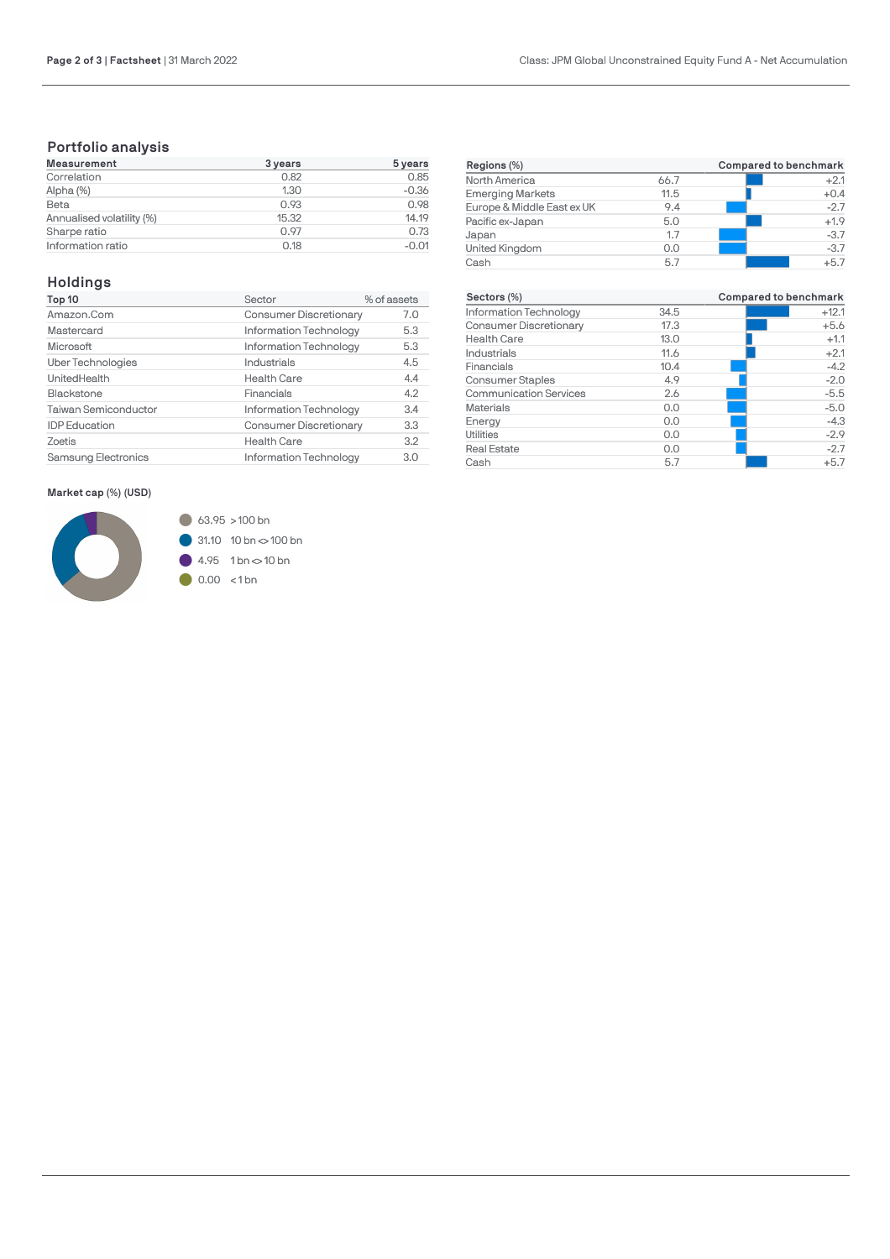## **Portfolio analysis**

| Measurement               | 3 years | $5 \,\mathrm{years}$ |
|---------------------------|---------|----------------------|
| Correlation               | 0.82    | 0.85                 |
| Alpha (%)                 | 1.30    | $-0.36$              |
| Beta                      | 0.93    | 0.98                 |
| Annualised volatility (%) | 15.32   | 14.19                |
| Sharpe ratio              | 0.97    | 0.73                 |
| Information ratio         | 0.18    | $-0.01$              |

## **Holdings**

| Top 10                     | Sector                        | % of assets |
|----------------------------|-------------------------------|-------------|
| Amazon.Com                 | <b>Consumer Discretionary</b> | 7.0         |
| Mastercard                 | Information Technology        | 5.3         |
| Microsoft                  | Information Technology        | 5.3         |
| Uber Technologies          | Industrials                   | 4.5         |
| UnitedHealth               | <b>Health Care</b>            | 4.4         |
| Blackstone                 | Financials                    | 4.2         |
| Taiwan Semiconductor       | Information Technology        | 3.4         |
| <b>IDP</b> Education       | <b>Consumer Discretionary</b> | 3.3         |
| Zoetis                     | <b>Health Care</b>            | 3.2         |
| <b>Samsung Electronics</b> | Information Technology        | 3.0         |

### **Market cap (%) (USD)**



| Regions (%)                |      | Compared to benchmark |  |  |
|----------------------------|------|-----------------------|--|--|
| North America              | 66.7 | $+2.1$                |  |  |
| <b>Emerging Markets</b>    | 11.5 | $+0.4$                |  |  |
| Europe & Middle East ex UK | 9.4  | $-2.7$                |  |  |
| Pacific ex-Japan           | 5.0  | $+1.9$                |  |  |
| Japan                      | 1.7  | $-3.7$                |  |  |
| United Kingdom             | 0.0  | $-3.7$                |  |  |
| Cash                       | 5.7  | $+5.7$                |  |  |

| Sectors (%)                   |      | <b>Compared to benchmark</b> |
|-------------------------------|------|------------------------------|
| Information Technology        | 34.5 | $+12.1$                      |
| <b>Consumer Discretionary</b> | 17.3 | $+5.6$                       |
| <b>Health Care</b>            | 13.0 | $+1.1$                       |
| Industrials                   | 11.6 | $+2.1$                       |
| Financials                    | 10.4 | $-4.2$                       |
| <b>Consumer Staples</b>       | 4.9  | $-2.0$                       |
| <b>Communication Services</b> | 2.6  | $-5.5$                       |
| <b>Materials</b>              | 0.0  | $-5.0$                       |
| Energy                        | 0.0  | $-4.3$                       |
| Utilities                     | 0.0  | $-2.9$                       |
| <b>Real Estate</b>            | 0.0  | $-2.7$                       |
| Cash                          | 5.7  | $+5.7$                       |